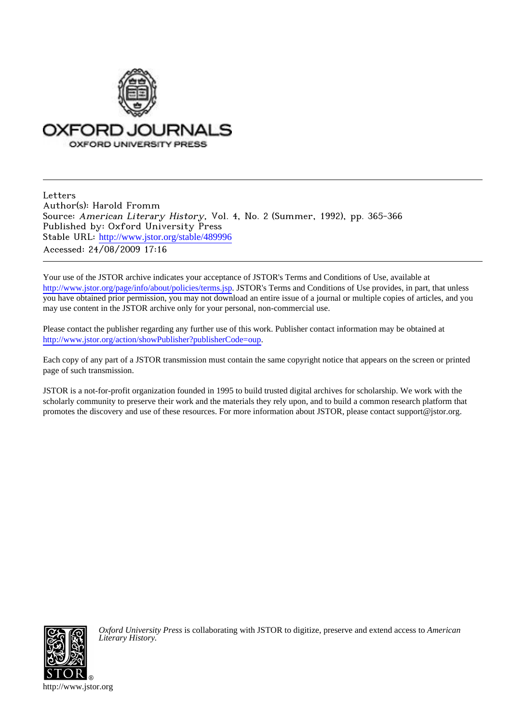

**Letters** Author(s): Harold Fromm Source: American Literary History, Vol. 4, No. 2 (Summer, 1992), pp. 365-366 Published by: Oxford University Press Stable URL: [http://www.jstor.org/stable/489996](http://www.jstor.org/stable/489996?origin=JSTOR-pdf) Accessed: 24/08/2009 17:16

Your use of the JSTOR archive indicates your acceptance of JSTOR's Terms and Conditions of Use, available at <http://www.jstor.org/page/info/about/policies/terms.jsp>. JSTOR's Terms and Conditions of Use provides, in part, that unless you have obtained prior permission, you may not download an entire issue of a journal or multiple copies of articles, and you may use content in the JSTOR archive only for your personal, non-commercial use.

Please contact the publisher regarding any further use of this work. Publisher contact information may be obtained at [http://www.jstor.org/action/showPublisher?publisherCode=oup.](http://www.jstor.org/action/showPublisher?publisherCode=oup)

Each copy of any part of a JSTOR transmission must contain the same copyright notice that appears on the screen or printed page of such transmission.

JSTOR is a not-for-profit organization founded in 1995 to build trusted digital archives for scholarship. We work with the scholarly community to preserve their work and the materials they rely upon, and to build a common research platform that promotes the discovery and use of these resources. For more information about JSTOR, please contact support@jstor.org.



*Oxford University Press* is collaborating with JSTOR to digitize, preserve and extend access to *American Literary History.*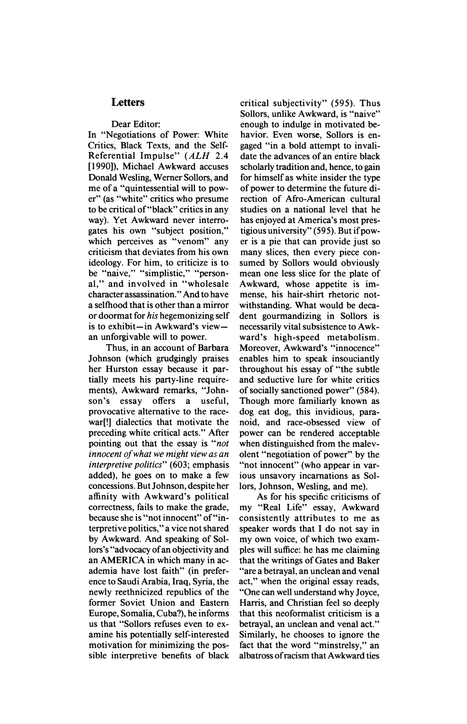## **Letters**

## **Dear Editor:**

**In "Negotiations of Power: White Critics, Black Texts, and the Self-Referential Impulse" (ALH 2.4 [1990]), Michael Awkward accuses Donald Wesling, Werner Sollors, and me of a "quintessential will to power" (as "white" critics who presume to be critical of"black" critics in any way). Yet Awkward never interrogates his own "subject position," which perceives as "venom" any criticism that deviates from his own ideology. For him, to criticize is to be "naive," "simplistic," "personal," and involved in "wholesale character assassination." And to have a selfhood that is other than a mirror or doormat for his hegemonizing self is to exhibit-in Awkward's viewan unforgivable will to power.** 

**Thus, in an account of Barbara Johnson (which grudgingly praises her Hurston essay because it partially meets his party-line require**ments), Awkward remarks, "John-<br>son's essay offers a useful. **son's essay offers a useful, provocative alternative to the racewar[!] dialectics that motivate the preceding white critical acts." After pointing out that the essay is "not innocent of what we might view as an interpretive politics" (603; emphasis added), he goes on to make a few concessions. But Johnson, despite her affinity with Awkward's political correctness, fails to make the grade, because she is "not innocent" of"interpretive politics," a vice not shared by Awkward. And speaking of Sollors's "advocacy of an objectivity and an AMERICA in which many in academia have lost faith" (in preference to Saudi Arabia, Iraq, Syria, the newly reethnicized republics of the former Soviet Union and Eastern Europe, Somalia, Cuba?), he informs us that "Sollors refuses even to examine his potentially self-interested motivation for minimizing the possible interpretive benefits of black** 

**critical subjectivity" (595). Thus Sollors, unlike Awkward, is "naive" enough to indulge in motivated behavior. Even worse, Sollors is engaged "in a bold attempt to invalidate the advances of an entire black scholarly tradition and, hence, to gain for himself as white insider the type of power to determine the future direction of Afro-American cultural studies on a national level that he has enjoyed at America's most prestigious university" (595). But if power is a pie that can provide just so many slices, then every piece consumed by Sollors would obviously mean one less slice for the plate of Awkward, whose appetite is immense, his hair-shirt rhetoric notwithstanding. What would be decadent gourmandizing in Sollors is necessarily vital subsistence to Awkward's high-speed metabolism. Moreover, Awkward's "innocence" enables him to speak insouciantly throughout his essay of "the subtle and seductive lure for white critics of socially sanctioned power" (584). Though more familiarly known as dog eat dog, this invidious, paranoid, and race-obsessed view of power can be rendered acceptable when distinguished from the malevolent "negotiation of power" by the "not innocent" (who appear in various unsavory incarnations as Sollors, Johnson, Wesling, and me).** 

**As for his specific criticisms of my "Real Life" essay, Awkward consistently attributes to me as speaker words that I do not say in my own voice, of which two examples will suffice: he has me claiming that the writings of Gates and Baker "are a betrayal, an unclean and venal act," when the original essay reads, "One can well understand why Joyce, Harris, and Christian feel so deeply that this neoformalist criticism is a betrayal, an unclean and venal act." Similarly, he chooses to ignore the fact that the word "minstrelsy," an albatross of racism that Awkward ties**